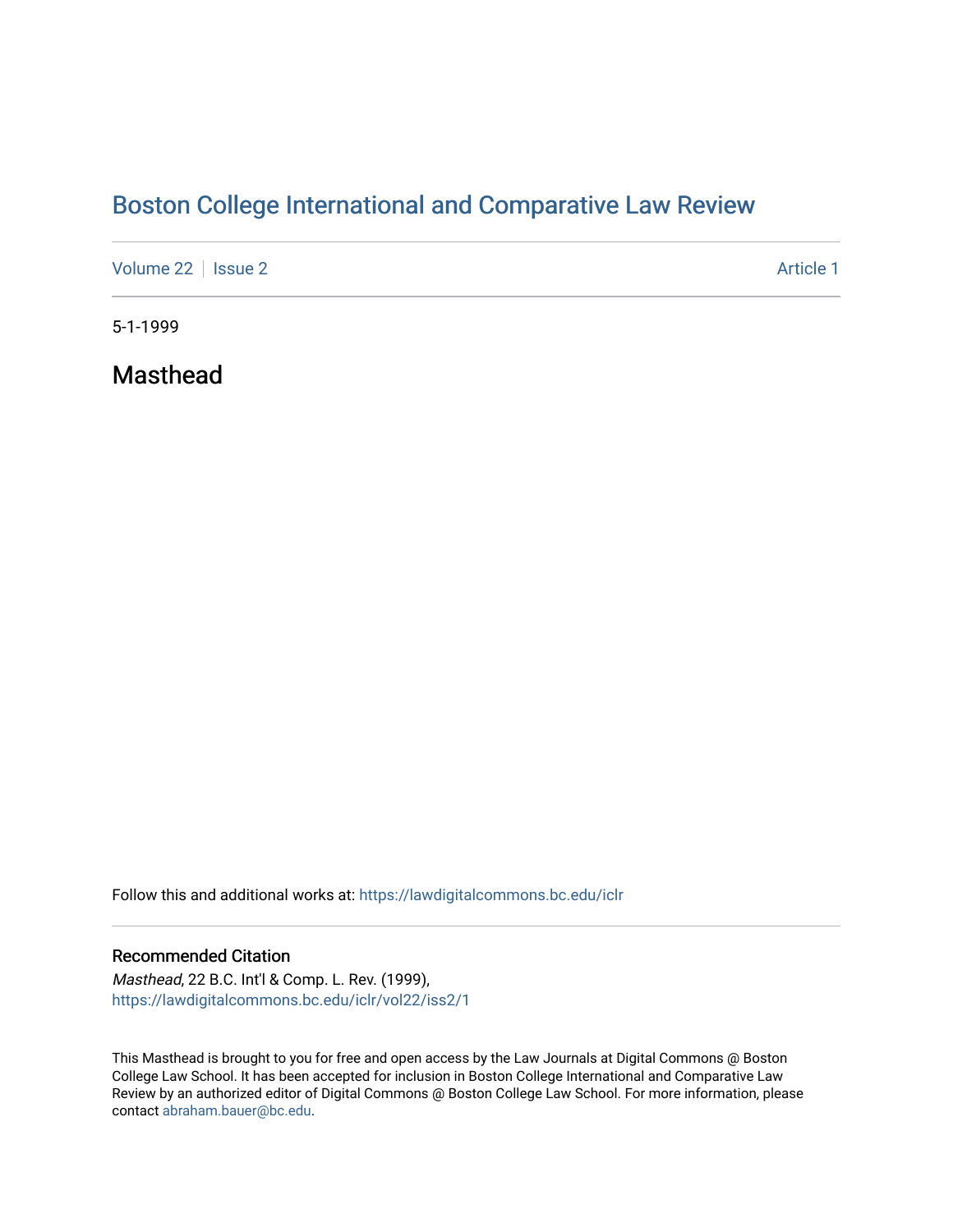# [Boston College International and Comparative Law Review](https://lawdigitalcommons.bc.edu/iclr)

[Volume 22](https://lawdigitalcommons.bc.edu/iclr/vol22) | [Issue 2](https://lawdigitalcommons.bc.edu/iclr/vol22/iss2) Article 1

5-1-1999

Masthead

Follow this and additional works at: [https://lawdigitalcommons.bc.edu/iclr](https://lawdigitalcommons.bc.edu/iclr?utm_source=lawdigitalcommons.bc.edu%2Ficlr%2Fvol22%2Fiss2%2F1&utm_medium=PDF&utm_campaign=PDFCoverPages) 

#### Recommended Citation

Masthead, 22 B.C. Int'l & Comp. L. Rev. (1999), [https://lawdigitalcommons.bc.edu/iclr/vol22/iss2/1](https://lawdigitalcommons.bc.edu/iclr/vol22/iss2/1?utm_source=lawdigitalcommons.bc.edu%2Ficlr%2Fvol22%2Fiss2%2F1&utm_medium=PDF&utm_campaign=PDFCoverPages)

This Masthead is brought to you for free and open access by the Law Journals at Digital Commons @ Boston College Law School. It has been accepted for inclusion in Boston College International and Comparative Law Review by an authorized editor of Digital Commons @ Boston College Law School. For more information, please contact [abraham.bauer@bc.edu](mailto:abraham.bauer@bc.edu).